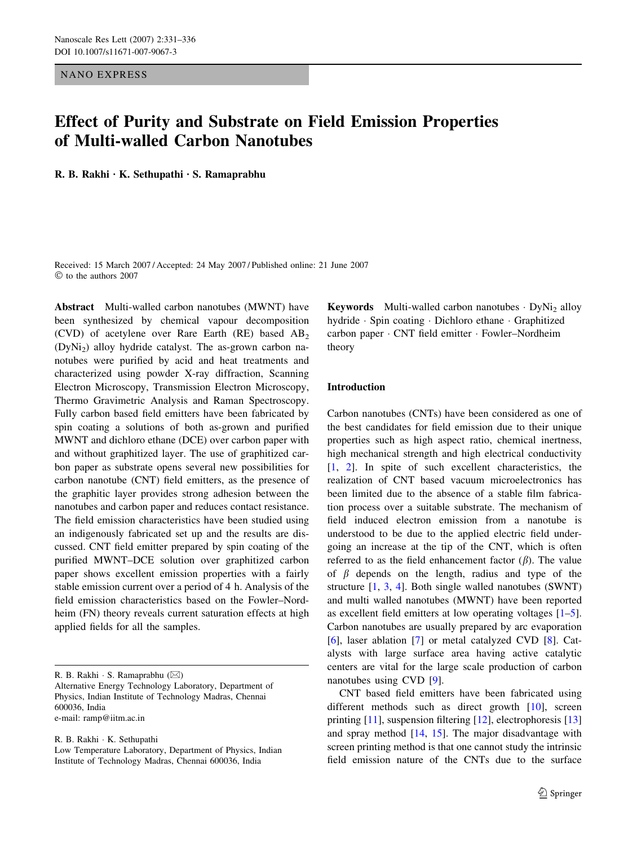NANO EXPRESS

# Effect of Purity and Substrate on Field Emission Properties of Multi-walled Carbon Nanotubes

R. B. Rakhi  $\cdot$  K. Sethupathi  $\cdot$  S. Ramaprabhu

Received: 15 March 2007 / Accepted: 24 May 2007 / Published online: 21 June 2007  $©$  to the authors 2007

Abstract Multi-walled carbon nanotubes (MWNT) have been synthesized by chemical vapour decomposition (CVD) of acetylene over Rare Earth  $(RE)$  based  $AB<sub>2</sub>$ (DyNi2) alloy hydride catalyst. The as-grown carbon nanotubes were purified by acid and heat treatments and characterized using powder X-ray diffraction, Scanning Electron Microscopy, Transmission Electron Microscopy, Thermo Gravimetric Analysis and Raman Spectroscopy. Fully carbon based field emitters have been fabricated by spin coating a solutions of both as-grown and purified MWNT and dichloro ethane (DCE) over carbon paper with and without graphitized layer. The use of graphitized carbon paper as substrate opens several new possibilities for carbon nanotube (CNT) field emitters, as the presence of the graphitic layer provides strong adhesion between the nanotubes and carbon paper and reduces contact resistance. The field emission characteristics have been studied using an indigenously fabricated set up and the results are discussed. CNT field emitter prepared by spin coating of the purified MWNT–DCE solution over graphitized carbon paper shows excellent emission properties with a fairly stable emission current over a period of 4 h. Analysis of the field emission characteristics based on the Fowler–Nordheim (FN) theory reveals current saturation effects at high applied fields for all the samples.

R. B. Rakhi · S. Ramaprabhu (⊠) Alternative Energy Technology Laboratory, Department of Physics, Indian Institute of Technology Madras, Chennai 600036, India e-mail: ramp@iitm.ac.in

R. B. Rakhi · K. Sethupathi

Low Temperature Laboratory, Department of Physics, Indian Institute of Technology Madras, Chennai 600036, India

**Keywords** Multi-walled carbon nanotubes  $\cdot$  DyNi<sub>2</sub> alloy hydride · Spin coating · Dichloro ethane · Graphitized carbon paper · CNT field emitter · Fowler–Nordheim theory

## Introduction

Carbon nanotubes (CNTs) have been considered as one of the best candidates for field emission due to their unique properties such as high aspect ratio, chemical inertness, high mechanical strength and high electrical conductivity [\[1](#page-4-0), [2\]](#page-4-0). In spite of such excellent characteristics, the realization of CNT based vacuum microelectronics has been limited due to the absence of a stable film fabrication process over a suitable substrate. The mechanism of field induced electron emission from a nanotube is understood to be due to the applied electric field undergoing an increase at the tip of the CNT, which is often referred to as the field enhancement factor  $(\beta)$ . The value of  $\beta$  depends on the length, radius and type of the structure [\[1](#page-4-0), [3](#page-4-0), [4](#page-5-0)]. Both single walled nanotubes (SWNT) and multi walled nanotubes (MWNT) have been reported as excellent field emitters at low operating voltages  $[1-5]$  $[1-5]$ . Carbon nanotubes are usually prepared by arc evaporation [\[6](#page-5-0)], laser ablation [\[7](#page-5-0)] or metal catalyzed CVD [[8\]](#page-5-0). Catalysts with large surface area having active catalytic centers are vital for the large scale production of carbon nanotubes using CVD [[9\]](#page-5-0).

CNT based field emitters have been fabricated using different methods such as direct growth [\[10](#page-5-0)], screen printing [[11\]](#page-5-0), suspension filtering [\[12](#page-5-0)], electrophoresis [[13\]](#page-5-0) and spray method [\[14](#page-5-0), [15\]](#page-5-0). The major disadvantage with screen printing method is that one cannot study the intrinsic field emission nature of the CNTs due to the surface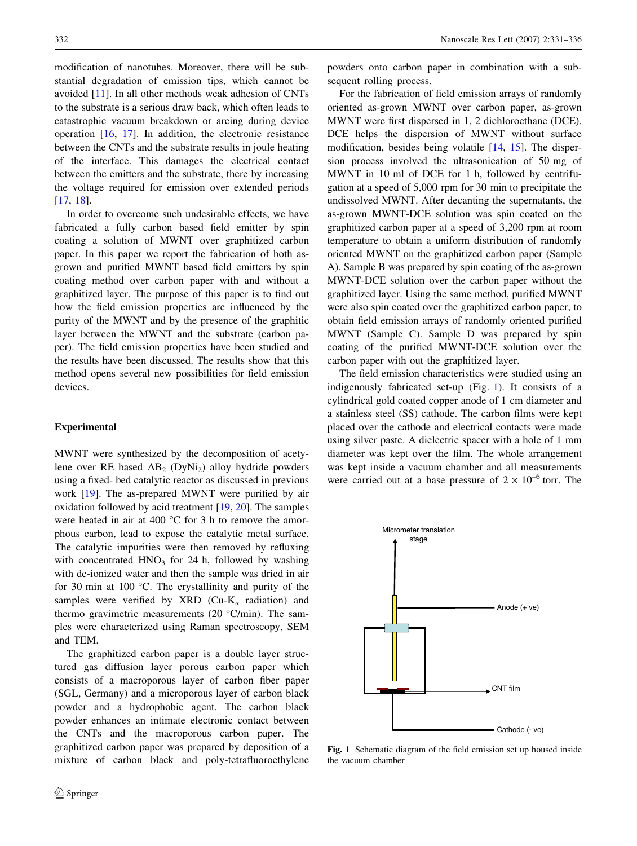modification of nanotubes. Moreover, there will be substantial degradation of emission tips, which cannot be avoided [[11\]](#page-5-0). In all other methods weak adhesion of CNTs to the substrate is a serious draw back, which often leads to catastrophic vacuum breakdown or arcing during device operation [[16,](#page-5-0) [17](#page-5-0)]. In addition, the electronic resistance between the CNTs and the substrate results in joule heating of the interface. This damages the electrical contact between the emitters and the substrate, there by increasing the voltage required for emission over extended periods [\[17](#page-5-0), [18](#page-5-0)].

In order to overcome such undesirable effects, we have fabricated a fully carbon based field emitter by spin coating a solution of MWNT over graphitized carbon paper. In this paper we report the fabrication of both asgrown and purified MWNT based field emitters by spin coating method over carbon paper with and without a graphitized layer. The purpose of this paper is to find out how the field emission properties are influenced by the purity of the MWNT and by the presence of the graphitic layer between the MWNT and the substrate (carbon paper). The field emission properties have been studied and the results have been discussed. The results show that this method opens several new possibilities for field emission devices.

#### Experimental

MWNT were synthesized by the decomposition of acetylene over RE based  $AB_2$  (DyNi<sub>2</sub>) alloy hydride powders using a fixed- bed catalytic reactor as discussed in previous work [\[19](#page-5-0)]. The as-prepared MWNT were purified by air oxidation followed by acid treatment [\[19](#page-5-0), [20](#page-5-0)]. The samples were heated in air at 400  $^{\circ}$ C for 3 h to remove the amorphous carbon, lead to expose the catalytic metal surface. The catalytic impurities were then removed by refluxing with concentrated  $HNO<sub>3</sub>$  for 24 h, followed by washing with de-ionized water and then the sample was dried in air for 30 min at 100  $^{\circ}$ C. The crystallinity and purity of the samples were verified by XRD (Cu-K<sub>a</sub> radiation) and thermo gravimetric measurements (20  $^{\circ}$ C/min). The samples were characterized using Raman spectroscopy, SEM and TEM.

The graphitized carbon paper is a double layer structured gas diffusion layer porous carbon paper which consists of a macroporous layer of carbon fiber paper (SGL, Germany) and a microporous layer of carbon black powder and a hydrophobic agent. The carbon black powder enhances an intimate electronic contact between the CNTs and the macroporous carbon paper. The graphitized carbon paper was prepared by deposition of a mixture of carbon black and poly-tetrafluoroethylene

powders onto carbon paper in combination with a subsequent rolling process.

For the fabrication of field emission arrays of randomly oriented as-grown MWNT over carbon paper, as-grown MWNT were first dispersed in 1, 2 dichloroethane (DCE). DCE helps the dispersion of MWNT without surface modification, besides being volatile [[14](#page-5-0), [15\]](#page-5-0). The dispersion process involved the ultrasonication of 50 mg of MWNT in 10 ml of DCE for 1 h, followed by centrifugation at a speed of 5,000 rpm for 30 min to precipitate the undissolved MWNT. After decanting the supernatants, the as-grown MWNT-DCE solution was spin coated on the graphitized carbon paper at a speed of 3,200 rpm at room temperature to obtain a uniform distribution of randomly oriented MWNT on the graphitized carbon paper (Sample A). Sample B was prepared by spin coating of the as-grown MWNT-DCE solution over the carbon paper without the graphitized layer. Using the same method, purified MWNT were also spin coated over the graphitized carbon paper, to obtain field emission arrays of randomly oriented purified MWNT (Sample C). Sample D was prepared by spin coating of the purified MWNT-DCE solution over the carbon paper with out the graphitized layer.

The field emission characteristics were studied using an indigenously fabricated set-up (Fig. 1). It consists of a cylindrical gold coated copper anode of 1 cm diameter and a stainless steel (SS) cathode. The carbon films were kept placed over the cathode and electrical contacts were made using silver paste. A dielectric spacer with a hole of 1 mm diameter was kept over the film. The whole arrangement was kept inside a vacuum chamber and all measurements were carried out at a base pressure of  $2 \times 10^{-6}$  torr. The



Fig. 1 Schematic diagram of the field emission set up housed inside the vacuum chamber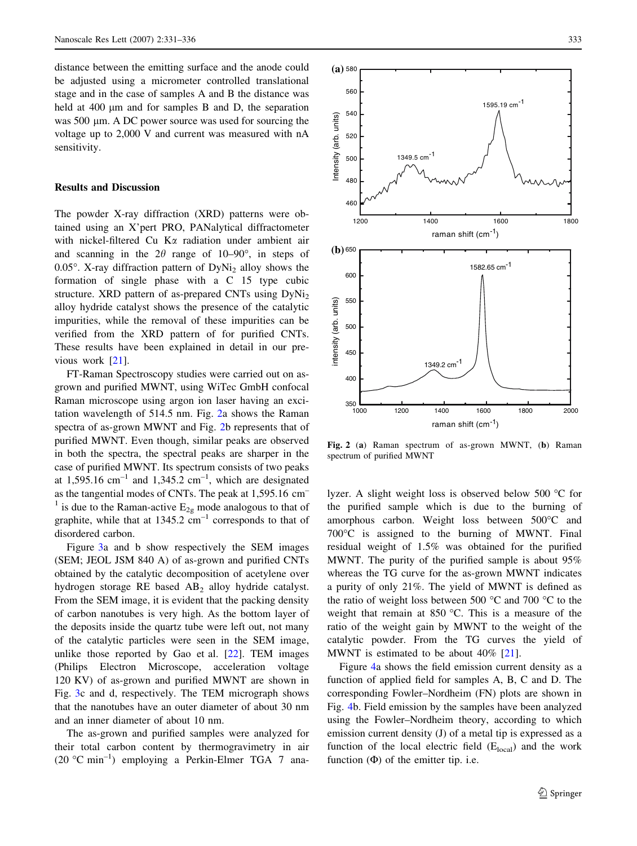distance between the emitting surface and the anode could be adjusted using a micrometer controlled translational stage and in the case of samples A and B the distance was held at 400  $\mu$ m and for samples B and D, the separation was 500 µm. A DC power source was used for sourcing the voltage up to 2,000 V and current was measured with nA sensitivity.

## Results and Discussion

The powder X-ray diffraction (XRD) patterns were obtained using an X'pert PRO, PANalytical diffractometer with nickel-filtered Cu Ka radiation under ambient air and scanning in the  $2\theta$  range of 10–90°, in steps of  $0.05^{\circ}$ . X-ray diffraction pattern of DyNi<sub>2</sub> alloy shows the formation of single phase with a C 15 type cubic structure. XRD pattern of as-prepared CNTs using  $DyNi<sub>2</sub>$ alloy hydride catalyst shows the presence of the catalytic impurities, while the removal of these impurities can be verified from the XRD pattern of for purified CNTs. These results have been explained in detail in our previous work [\[21](#page-5-0)].

FT-Raman Spectroscopy studies were carried out on asgrown and purified MWNT, using WiTec GmbH confocal Raman microscope using argon ion laser having an excitation wavelength of 514.5 nm. Fig. 2a shows the Raman spectra of as-grown MWNT and Fig. 2b represents that of purified MWNT. Even though, similar peaks are observed in both the spectra, the spectral peaks are sharper in the case of purified MWNT. Its spectrum consists of two peaks at 1,595.16 cm<sup>-1</sup> and 1,345.2 cm<sup>-1</sup>, which are designated as the tangential modes of CNTs. The peak at 1,595.16 cm– <sup>1</sup> is due to the Raman-active  $E_{2g}$  mode analogous to that of graphite, while that at  $1345.2 \text{ cm}^{-1}$  corresponds to that of disordered carbon.

Figure [3a](#page-3-0) and b show respectively the SEM images (SEM; JEOL JSM 840 A) of as-grown and purified CNTs obtained by the catalytic decomposition of acetylene over hydrogen storage RE based AB2 alloy hydride catalyst. From the SEM image, it is evident that the packing density of carbon nanotubes is very high. As the bottom layer of the deposits inside the quartz tube were left out, not many of the catalytic particles were seen in the SEM image, unlike those reported by Gao et al. [\[22](#page-5-0)]. TEM images (Philips Electron Microscope, acceleration voltage 120 KV) of as-grown and purified MWNT are shown in Fig. [3](#page-3-0)c and d, respectively. The TEM micrograph shows that the nanotubes have an outer diameter of about 30 nm and an inner diameter of about 10 nm.

The as-grown and purified samples were analyzed for their total carbon content by thermogravimetry in air (20 °C min<sup>-1</sup>) employing a Perkin-Elmer TGA 7 ana-



Fig. 2 (a) Raman spectrum of as-grown MWNT, (b) Raman spectrum of purified MWNT

lyzer. A slight weight loss is observed below 500 °C for the purified sample which is due to the burning of amorphous carbon. Weight loss between 500°C and 700°C is assigned to the burning of MWNT. Final residual weight of 1.5% was obtained for the purified MWNT. The purity of the purified sample is about 95% whereas the TG curve for the as-grown MWNT indicates a purity of only 21%. The yield of MWNT is defined as the ratio of weight loss between 500  $^{\circ}$ C and 700  $^{\circ}$ C to the weight that remain at  $850$  °C. This is a measure of the ratio of the weight gain by MWNT to the weight of the catalytic powder. From the TG curves the yield of MWNT is estimated to be about 40% [[21\]](#page-5-0).

Figure [4a](#page-4-0) shows the field emission current density as a function of applied field for samples A, B, C and D. The corresponding Fowler–Nordheim (FN) plots are shown in Fig. [4](#page-4-0)b. Field emission by the samples have been analyzed using the Fowler–Nordheim theory, according to which emission current density (J) of a metal tip is expressed as a function of the local electric field  $(E<sub>local</sub>)$  and the work function  $(\Phi)$  of the emitter tip. i.e.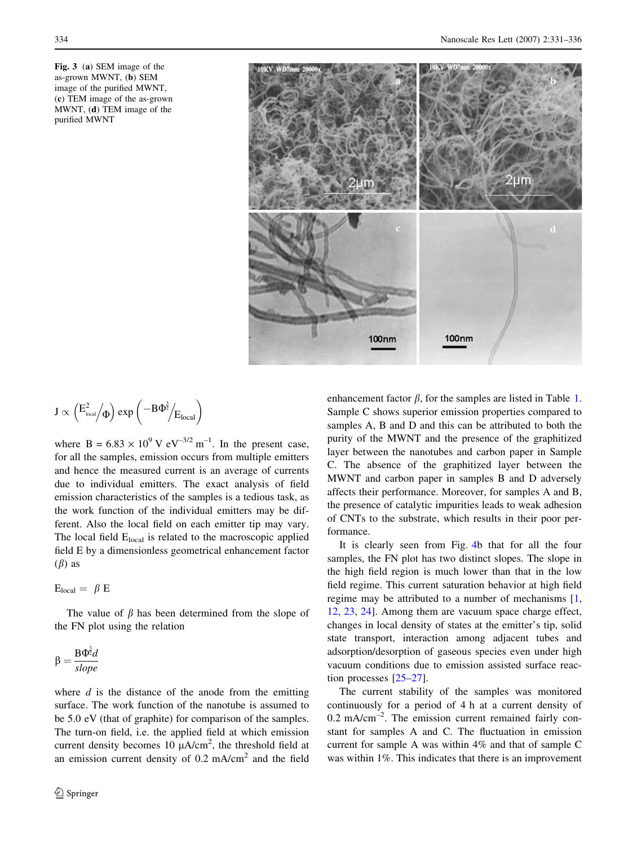<span id="page-3-0"></span>Fig. 3 (a) SEM image of the as-grown MWNT, (b) SEM image of the purified MWNT, (c) TEM image of the as-grown MWNT, (d) TEM image of the purified MWNT



$$
J \propto \left(E_\text{\tiny local}^2\middle/\!\Phi\right)exp\left(-B\Phi^\frac{3}{2}\middle/E_\text{\tiny local}\right)
$$

where B =  $6.83 \times 10^9$  V eV<sup>-3/2</sup> m<sup>-1</sup>. In the present case, for all the samples, emission occurs from multiple emitters and hence the measured current is an average of currents due to individual emitters. The exact analysis of field emission characteristics of the samples is a tedious task, as the work function of the individual emitters may be different. Also the local field on each emitter tip may vary. The local field  $E<sub>local</sub>$  is related to the macroscopic applied field E by a dimensionless geometrical enhancement factor  $(\beta)$  as

$$
E_{local} = \beta E
$$

The value of  $\beta$  has been determined from the slope of the FN plot using the relation

$$
\beta = \frac{\text{B}\Phi^{\frac{3}{2}}d}{slope}
$$

where  $d$  is the distance of the anode from the emitting surface. The work function of the nanotube is assumed to be 5.0 eV (that of graphite) for comparison of the samples. The turn-on field, i.e. the applied field at which emission current density becomes 10  $\mu A/cm^2$ , the threshold field at an emission current density of  $0.2 \text{ mA/cm}^2$  and the field enhancement factor  $\beta$ , for the samples are listed in Table [1.](#page-4-0) Sample C shows superior emission properties compared to samples A, B and D and this can be attributed to both the purity of the MWNT and the presence of the graphitized layer between the nanotubes and carbon paper in Sample C. The absence of the graphitized layer between the MWNT and carbon paper in samples B and D adversely affects their performance. Moreover, for samples A and B, the presence of catalytic impurities leads to weak adhesion of CNTs to the substrate, which results in their poor performance.

It is clearly seen from Fig. [4](#page-4-0)b that for all the four samples, the FN plot has two distinct slopes. The slope in the high field region is much lower than that in the low field regime. This current saturation behavior at high field regime may be attributed to a number of mechanisms [[1,](#page-4-0) [12](#page-5-0), [23,](#page-5-0) [24\]](#page-5-0). Among them are vacuum space charge effect, changes in local density of states at the emitter's tip, solid state transport, interaction among adjacent tubes and adsorption/desorption of gaseous species even under high vacuum conditions due to emission assisted surface reaction processes [[25–27\]](#page-5-0).

The current stability of the samples was monitored continuously for a period of 4 h at a current density of  $0.2 \text{ mA/cm}^{-2}$ . The emission current remained fairly constant for samples A and C. The fluctuation in emission current for sample A was within 4% and that of sample C was within 1%. This indicates that there is an improvement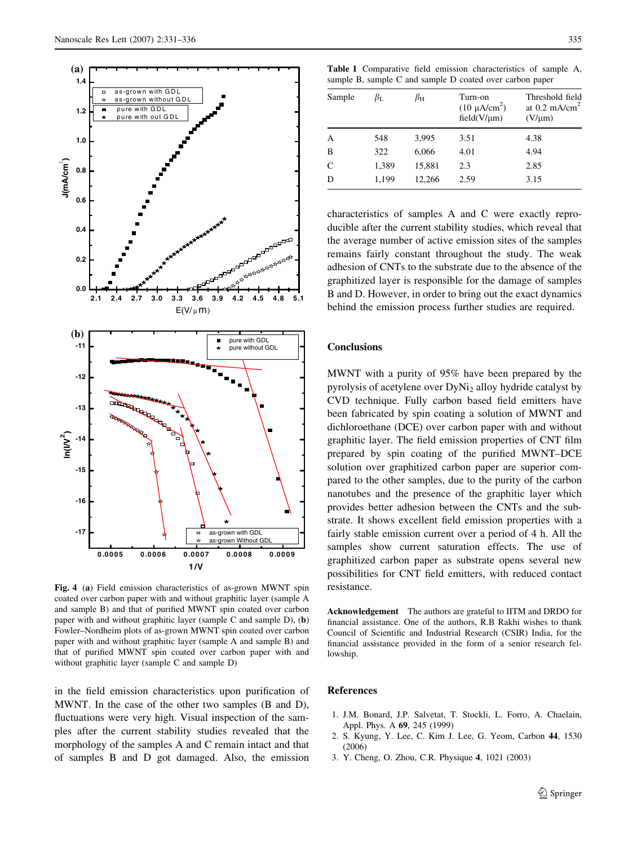<span id="page-4-0"></span>

Fig. 4 (a) Field emission characteristics of as-grown MWNT spin coated over carbon paper with and without graphitic layer (sample A and sample B) and that of purified MWNT spin coated over carbon paper with and without graphitic layer (sample C and sample D), (b) Fowler–Nordheim plots of as-grown MWNT spin coated over carbon paper with and without graphitic layer (sample A and sample B) and that of purified MWNT spin coated over carbon paper with and without graphitic layer (sample C and sample D)

in the field emission characteristics upon purification of MWNT. In the case of the other two samples (B and D), fluctuations were very high. Visual inspection of the samples after the current stability studies revealed that the morphology of the samples A and C remain intact and that of samples B and D got damaged. Also, the emission

Table 1 Comparative field emission characteristics of sample A, sample B, sample C and sample D coated over carbon paper

| Sample         | $\beta_{\rm L}$ | $\beta_{\rm H}$ | Turn-on<br>$(10 \mu A/cm2)$<br>$field(V/\mu m)$ | Threshold field<br>at $0.2 \text{ mA/cm}^2$<br>$(V/\mu m)$ |
|----------------|-----------------|-----------------|-------------------------------------------------|------------------------------------------------------------|
| $\overline{A}$ | 548             | 3,995           | 3.51                                            | 4.38                                                       |
| B              | 322             | 6,066           | 4.01                                            | 4.94                                                       |
| C              | 1,389           | 15,881          | 2.3                                             | 2.85                                                       |
| D              | 1,199           | 12,266          | 2.59                                            | 3.15                                                       |

characteristics of samples A and C were exactly reproducible after the current stability studies, which reveal that the average number of active emission sites of the samples remains fairly constant throughout the study. The weak adhesion of CNTs to the substrate due to the absence of the graphitized layer is responsible for the damage of samples B and D. However, in order to bring out the exact dynamics behind the emission process further studies are required.

### Conclusions

MWNT with a purity of 95% have been prepared by the pyrolysis of acetylene over DyNi2 alloy hydride catalyst by CVD technique. Fully carbon based field emitters have been fabricated by spin coating a solution of MWNT and dichloroethane (DCE) over carbon paper with and without graphitic layer. The field emission properties of CNT film prepared by spin coating of the purified MWNT–DCE solution over graphitized carbon paper are superior compared to the other samples, due to the purity of the carbon nanotubes and the presence of the graphitic layer which provides better adhesion between the CNTs and the substrate. It shows excellent field emission properties with a fairly stable emission current over a period of 4 h. All the samples show current saturation effects. The use of graphitized carbon paper as substrate opens several new possibilities for CNT field emitters, with reduced contact resistance.

Acknowledgement The authors are grateful to IITM and DRDO for financial assistance. One of the authors, R.B Rakhi wishes to thank Council of Scientific and Industrial Research (CSIR) India, for the financial assistance provided in the form of a senior research fellowship.

#### References

- 1. J.M. Bonard, J.P. Salvetat, T. Stockli, L. Forro, A. Chaelain, Appl. Phys. A 69, 245 (1999)
- 2. S. Kyung, Y. Lee, C. Kim J. Lee, G. Yeom, Carbon 44, 1530 (2006)
- 3. Y. Cheng, O. Zhou, C.R. Physique 4, 1021 (2003)